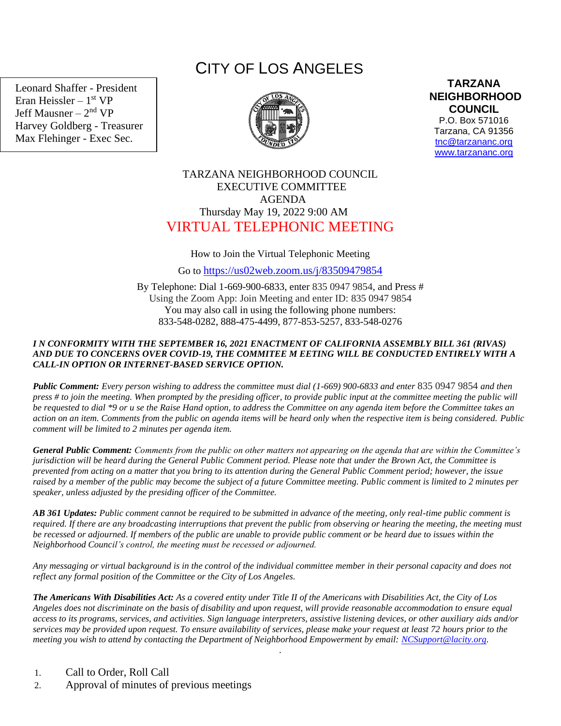Leonard Shaffer - President Eran Heissler – 1<sup>st</sup> VP Jeff Mausner – 2<sup>nd</sup> VP Harvey Goldberg - Treasurer Max Flehinger - Exec Sec.

# CITY OF LOS ANGELES



**TARZANA NEIGHBORHOOD COUNCIL** 

P.O. Box 571016 Tarzana, CA 91356 [tnc@tarzananc.org](mailto:tnc@tarzananc.org) [www.tarzananc.org](http://www.tarzananc.org/)

# TARZANA NEIGHBORHOOD COUNCIL EXECUTIVE COMMITTEE AGENDA Thursday May 19, 2022 9:00 AM VIRTUAL TELEPHONIC MEETING

## How to Join the Virtual Telephonic Meeting

Go to <https://us02web.zoom.us/j/83509479854>

By Telephone: Dial 1-669-900-6833, enter 835 0947 9854, and Press # Using the Zoom App: Join Meeting and enter ID: 835 0947 9854 You may also call in using the following phone numbers: 833-548-0282, 888-475-4499, 877-853-5257, 833-548-0276

### *I N CONFORMITY WITH THE SEPTEMBER 16, 2021 ENACTMENT OF CALIFORNIA ASSEMBLY BILL 361 (RIVAS) AND DUE TO CONCERNS OVER COVID-19, THE COMMITEE M EETING WILL BE CONDUCTED ENTIRELY WITH A CALL-IN OPTION OR INTERNET-BASED SERVICE OPTION.*

*Public Comment: Every person wishing to address the committee must dial (1-669) 900-6833 and enter* 835 0947 9854 *and then press # to join the meeting. When prompted by the presiding officer, to provide public input at the committee meeting the public will be requested to dial \*9 or u se the Raise Hand option, to address the Committee on any agenda item before the Committee takes an action on an item. Comments from the public on agenda items will be heard only when the respective item is being considered. Public comment will be limited to 2 minutes per agenda item.*

*General Public Comment: Comments from the public on other matters not appearing on the agenda that are within the Committee's jurisdiction will be heard during the General Public Comment period. Please note that under the Brown Act, the Committee is prevented from acting on a matter that you bring to its attention during the General Public Comment period; however, the issue raised by a member of the public may become the subject of a future Committee meeting. Public comment is limited to 2 minutes per speaker, unless adjusted by the presiding officer of the Committee.*

*AB 361 Updates: Public comment cannot be required to be submitted in advance of the meeting, only real-time public comment is required. If there are any broadcasting interruptions that prevent the public from observing or hearing the meeting, the meeting must be recessed or adjourned. If members of the public are unable to provide public comment or be heard due to issues within the Neighborhood Council's control, the meeting must be recessed or adjourned.*

*Any messaging or virtual background is in the control of the individual committee member in their personal capacity and does not reflect any formal position of the Committee or the City of Los Angeles.*

*The Americans With Disabilities Act: As a covered entity under Title II of the Americans with Disabilities Act, the City of Los Angeles does not discriminate on the basis of disability and upon request, will provide reasonable accommodation to ensure equal access to its programs, services, and activities. Sign language interpreters, assistive listening devices, or other auxiliary aids and/or services may be provided upon request. To ensure availability of services, please make your request at least 72 hours prior to the meeting you wish to attend by contacting the Department of Neighborhood Empowerment by email: [NCSupport@lacity.org.](mailto:NCSupport@lacity.org)*

.

- 1. Call to Order, Roll Call
- 2. Approval of minutes of previous meetings